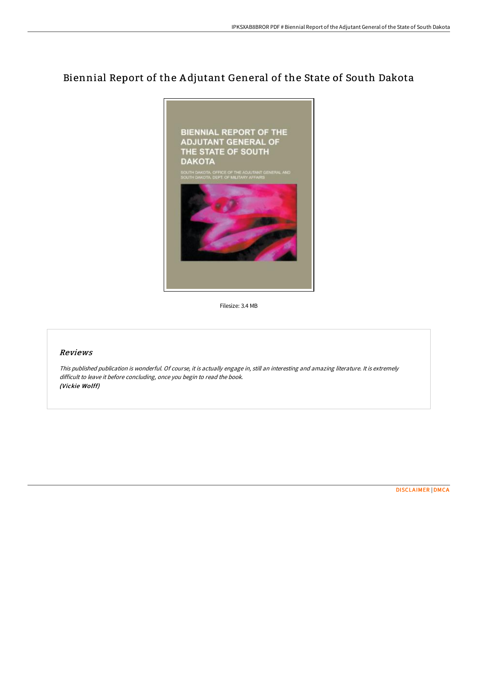# Biennial Report of the A djutant General of the State of South Dakota



Filesize: 3.4 MB

## Reviews

This published publication is wonderful. Of course, it is actually engage in, still an interesting and amazing literature. It is extremely difficult to leave it before concluding, once you begin to read the book. (Vickie Wolff)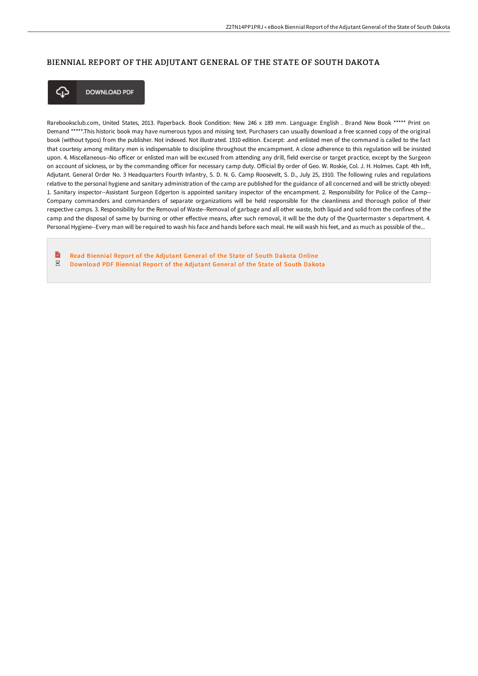## BIENNIAL REPORT OF THE ADJUTANT GENERAL OF THE STATE OF SOUTH DAKOTA



**DOWNLOAD PDF** 

Rarebooksclub.com, United States, 2013. Paperback. Book Condition: New. 246 x 189 mm. Language: English . Brand New Book \*\*\*\*\* Print on Demand \*\*\*\*\*.This historic book may have numerous typos and missing text. Purchasers can usually download a free scanned copy of the original book (without typos) from the publisher. Not indexed. Not illustrated. 1910 edition. Excerpt: .and enlisted men of the command is called to the fact that courtesy among military men is indispensable to discipline throughout the encampment. A close adherence to this regulation will be insisted upon. 4. Miscellaneous--No officer or enlisted man will be excused from attending any drill, field exercise or target practice, except by the Surgeon on account of sickness, or by the commanding officer for necessary camp duty. Official By order of Geo. W. Roskie, Col. J. H. Holmes. Capt. 4th Inft, Adjutant. General Order No. 3 Headquarters Fourth Infantry, S. D. N. G. Camp Roosevelt, S. D., July 25, 1910. The following rules and regulations relative to the personal hygiene and sanitary administration of the camp are published for the guidance of all concerned and will be strictly obeyed: 1. Sanitary inspector--Assistant Surgeon Edgerton is appointed sanitary inspector of the encampment. 2. Responsibility for Police of the Camp-- Company commanders and commanders of separate organizations will be held responsible for the cleanliness and thorough police of their respective camps. 3. Responsibility for the Removal of Waste--Removal of garbage and all other waste, both liquid and solid from the confines of the camp and the disposal of same by burning or other effective means, after such removal, it will be the duty of the Quartermaster s department. 4. Personal Hygiene--Every man will be required to wash his face and hands before each meal. He will wash his feet, and as much as possible of the...

 $\mathbb{R}$ Read Biennial Report of the [Adjutant](http://bookera.tech/biennial-report-of-the-adjutant-general-of-the-s-1.html) General of the State of South Dakota Online  $_{\rm{pp}}$ [Download](http://bookera.tech/biennial-report-of-the-adjutant-general-of-the-s-1.html) PDF Biennial Report of the Adjutant General of the State of South Dakota